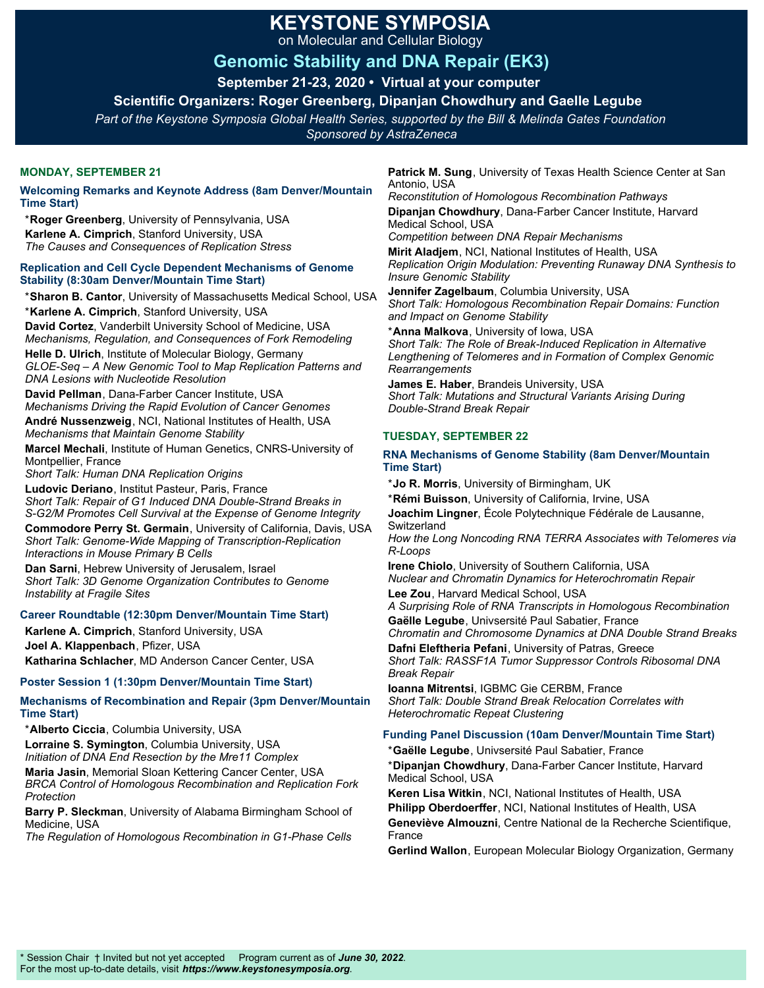# **KEYSTONE SYMPOSIA**

on Molecular and Cellular Biology

# **Genomic Stability and DNA Repair (EK3)**

**September 21-23, 2020 • Virtual at your computer** 

**Scientific Organizers: Roger Greenberg, Dipanjan Chowdhury and Gaelle Legube** 

*Part of the Keystone Symposia Global Health Series, supported by the Bill & Melinda Gates Foundation*

*Sponsored by AstraZeneca*

# **MONDAY, SEPTEMBER 21**

**Welcoming Remarks and Keynote Address (8am Denver/Mountain Time Start)** 

\***Roger Greenberg**, University of Pennsylvania, USA **Karlene A. Cimprich**, Stanford University, USA *The Causes and Consequences of Replication Stress*

#### **Replication and Cell Cycle Dependent Mechanisms of Genome Stability (8:30am Denver/Mountain Time Start)**

\***Sharon B. Cantor**, University of Massachusetts Medical School, USA \***Karlene A. Cimprich**, Stanford University, USA

**David Cortez**, Vanderbilt University School of Medicine, USA *Mechanisms, Regulation, and Consequences of Fork Remodeling*

**Helle D. Ulrich**, Institute of Molecular Biology, Germany *GLOE-Seq – A New Genomic Tool to Map Replication Patterns and DNA Lesions with Nucleotide Resolution*

**David Pellman**, Dana-Farber Cancer Institute, USA *Mechanisms Driving the Rapid Evolution of Cancer Genomes*

**André Nussenzweig**, NCI, National Institutes of Health, USA *Mechanisms that Maintain Genome Stability*

**Marcel Mechali**, Institute of Human Genetics, CNRS-University of Montpellier, France

*Short Talk: Human DNA Replication Origins*

**Ludovic Deriano**, Institut Pasteur, Paris, France *Short Talk: Repair of G1 Induced DNA Double-Strand Breaks in S-G2/M Promotes Cell Survival at the Expense of Genome Integrity*

**Commodore Perry St. Germain**, University of California, Davis, USA *Short Talk: Genome-Wide Mapping of Transcription-Replication Interactions in Mouse Primary B Cells*

**Dan Sarni**, Hebrew University of Jerusalem, Israel *Short Talk: 3D Genome Organization Contributes to Genome Instability at Fragile Sites*

# **Career Roundtable (12:30pm Denver/Mountain Time Start)**

**Karlene A. Cimprich**, Stanford University, USA **Joel A. Klappenbach**, Pfizer, USA

**Katharina Schlacher**, MD Anderson Cancer Center, USA

# **Poster Session 1 (1:30pm Denver/Mountain Time Start)**

**Mechanisms of Recombination and Repair (3pm Denver/Mountain Time Start)** 

\***Alberto Ciccia**, Columbia University, USA **Lorraine S. Symington**, Columbia University, USA *Initiation of DNA End Resection by the Mre11 Complex*

**Maria Jasin**, Memorial Sloan Kettering Cancer Center, USA *BRCA Control of Homologous Recombination and Replication Fork Protection*

**Barry P. Sleckman**, University of Alabama Birmingham School of Medicine, USA

*The Regulation of Homologous Recombination in G1-Phase Cells*

**Patrick M. Sung**, University of Texas Health Science Center at San Antonio, USA

*Reconstitution of Homologous Recombination Pathways* **Dipanjan Chowdhury**, Dana-Farber Cancer Institute, Harvard Medical School, USA

*Competition between DNA Repair Mechanisms*

**Mirit Aladjem**, NCI, National Institutes of Health, USA *Replication Origin Modulation: Preventing Runaway DNA Synthesis to Insure Genomic Stability*

**Jennifer Zagelbaum**, Columbia University, USA *Short Talk: Homologous Recombination Repair Domains: Function and Impact on Genome Stability*

\***Anna Malkova**, University of Iowa, USA *Short Talk: The Role of Break-Induced Replication in Alternative Lengthening of Telomeres and in Formation of Complex Genomic Rearrangements*

**James E. Haber**, Brandeis University, USA *Short Talk: Mutations and Structural Variants Arising During Double-Strand Break Repair*

### **TUESDAY, SEPTEMBER 22**

### **RNA Mechanisms of Genome Stability (8am Denver/Mountain Time Start)**

\***Jo R. Morris**, University of Birmingham, UK

\***Rémi Buisson**, University of California, Irvine, USA

**Joachim Lingner**, École Polytechnique Fédérale de Lausanne, Switzerland

*How the Long Noncoding RNA TERRA Associates with Telomeres via R-Loops*

**Irene Chiolo**, University of Southern California, USA *Nuclear and Chromatin Dynamics for Heterochromatin Repair* **Lee Zou**, Harvard Medical School, USA

*A Surprising Role of RNA Transcripts in Homologous Recombination* **Gaëlle Legube**, Univsersité Paul Sabatier, France

*Chromatin and Chromosome Dynamics at DNA Double Strand Breaks*

**Dafni Eleftheria Pefani**, University of Patras, Greece *Short Talk: RASSF1A Tumor Suppressor Controls Ribosomal DNA Break Repair*

**Ioanna Mitrentsi**, IGBMC Gie CERBM, France *Short Talk: Double Strand Break Relocation Correlates with Heterochromatic Repeat Clustering*

# **Funding Panel Discussion (10am Denver/Mountain Time Start)**

\***Gaëlle Legube**, Univsersité Paul Sabatier, France

\***Dipanjan Chowdhury**, Dana-Farber Cancer Institute, Harvard Medical School, USA

**Keren Lisa Witkin**, NCI, National Institutes of Health, USA **Philipp Oberdoerffer**, NCI, National Institutes of Health, USA **Geneviève Almouzni**, Centre National de la Recherche Scientifique, France

**Gerlind Wallon**, European Molecular Biology Organization, Germany